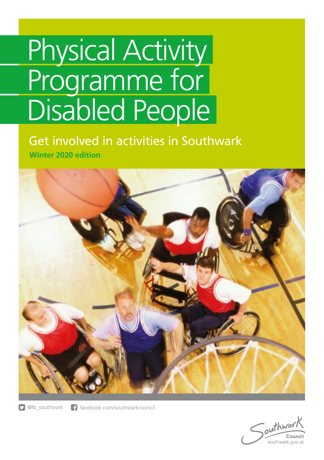# Physical Activity Programme for Disabled People

Get involved in activities in Southwark **Winter 2020 edition**



**D** @lb\_southwark **f** facebook.com/southwarkcouncil

outhway Council southwark.gov.uk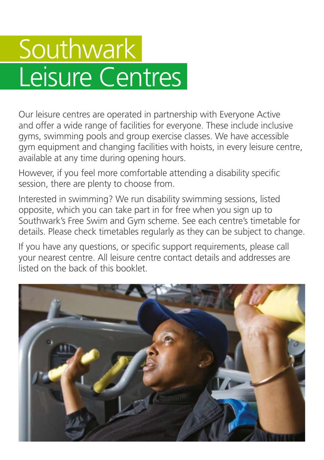### Southwark Leisure Centres

Our leisure centres are operated in partnership with Everyone Active and offer a wide range of facilities for everyone. These include inclusive gyms, swimming pools and group exercise classes. We have accessible gym equipment and changing facilities with hoists, in every leisure centre, available at any time during opening hours.

However, if you feel more comfortable attending a disability specific session, there are plenty to choose from.

Interested in swimming? We run disability swimming sessions, listed opposite, which you can take part in for free when you sign up to Southwark's Free Swim and Gym scheme. See each centre's timetable for details. Please check timetables regularly as they can be subject to change.

If you have any questions, or specific support requirements, please call your nearest centre. All leisure centre contact details and addresses are listed on the back of this booklet.

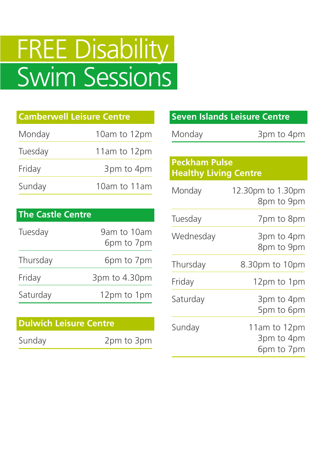## FREE Disability Swim Sessions

| <b>Camberwell Leisure Centre</b> |              |  |
|----------------------------------|--------------|--|
| Monday                           | 10am to 12pm |  |
| Tuesday                          | 11am to 12pm |  |
| Friday                           | 3pm to 4pm   |  |
| Sunday                           | 10am to 11am |  |

#### **The Castle Centre**

| Tuesday  | 9am to 10am<br>6pm to 7pm |
|----------|---------------------------|
| Thursday | 6pm to 7pm                |
| Friday   | 3pm to 4.30pm             |
| Saturday | 12pm to 1pm               |

#### **Dulwich Leisure Centre**

Sunday 2pm to 3pm

|                              | <b>Seven Islands Leisure Centre</b>      |
|------------------------------|------------------------------------------|
| Monday                       | 3pm to 4pm                               |
|                              |                                          |
| <b>Peckham Pulse</b>         |                                          |
| <b>Healthy Living Centre</b> |                                          |
| Monday                       | 12.30pm to 1.30pm<br>8pm to 9pm          |
| Tuesday                      | 7pm to 8pm                               |
| Wednesday                    | 3pm to 4pm<br>8pm to 9pm                 |
| Thursday                     | 8.30pm to 10pm                           |
| Friday                       | 12pm to 1pm                              |
| Saturday                     | 3pm to 4pm<br>5pm to 6pm                 |
| Sunday                       | 11am to 12pm<br>3pm to 4pm<br>6pm to 7pm |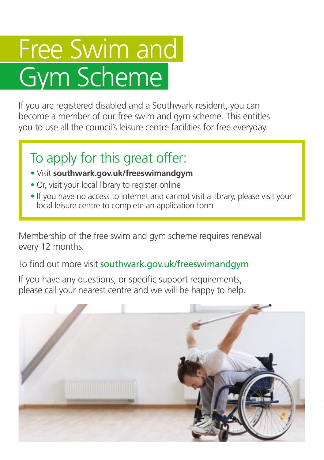### Free Swim and Gym Scheme

If you are registered disabled and a Southwark resident, you can become a member of our free swim and gym scheme. This entitles you to use all the council's leisure centre facilities for free everyday.

### To apply for this great offer:

- Visit **southwark.gov.uk/freeswimandgym**
- Or, visit your local library to register online
- If you have no access to internet and cannot visit a library, please visit your local leisure centre to complete an application form

Membership of the free swim and gym scheme requires renewal every 12 months.

To find out more visit southwark.gov.uk/freeswimandgym

If you have any questions, or specific support requirements, please call your nearest centre and we will be happy to help.

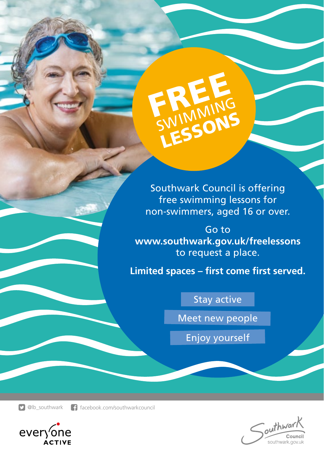

Southwark Council is offering free swimming lessons for non-swimmers, aged 16 or over.

Go to **www.southwark.gov.uk/freelessons**  to request a place.

**Limited spaces – first come first served.**

#### Stay active

Meet new people

Enjoy yourself

**D** @lb\_southwark facebook.com/southwarkcouncil



outhward Council southwark.gov.uk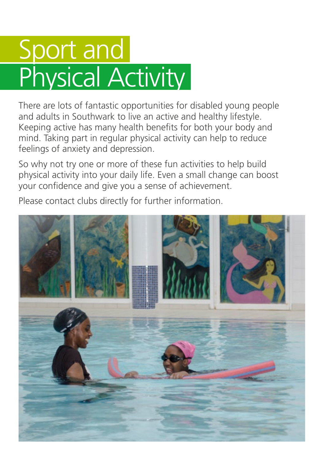### Sport and Physical Activity

There are lots of fantastic opportunities for disabled young people and adults in Southwark to live an active and healthy lifestyle. Keeping active has many health benefits for both your body and mind. Taking part in regular physical activity can help to reduce feelings of anxiety and depression.

So why not try one or more of these fun activities to help build physical activity into your daily life. Even a small change can boost your confidence and give you a sense of achievement.

Please contact clubs directly for further information.

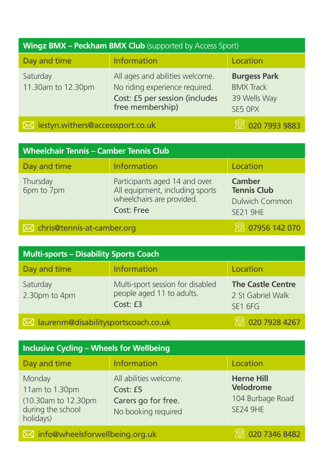| <b>Wingz BMX - Peckham BMX Club</b> (supported by Access Sport)        |                                                                                                                         |                                                                    |
|------------------------------------------------------------------------|-------------------------------------------------------------------------------------------------------------------------|--------------------------------------------------------------------|
| Day and time                                                           | <b>Information</b>                                                                                                      | Location                                                           |
| Saturday<br>11.30am to 12.30pm                                         | All ages and abilities welcome.<br>No riding experience required.<br>Cost: £5 per session (includes<br>free membership) | <b>Burgess Park</b><br><b>BMX Track</b><br>39 Wells Way<br>SE5 OPX |
| <b>ි 020 7993 9883</b><br>$\boxtimes$ iestyn.withers@accesssport.co.uk |                                                                                                                         |                                                                    |

| <b>Wheelchair Tennis - Camber Tennis Club</b> |                                                                                                                     |                                                                                 |
|-----------------------------------------------|---------------------------------------------------------------------------------------------------------------------|---------------------------------------------------------------------------------|
| Day and time                                  | Information                                                                                                         | Location                                                                        |
| Thursday<br>6pm to 7pm                        | Participants aged 14 and over.<br>All equipment, including sports<br>wheelchairs are provided.<br><b>Cost: Free</b> | <b>Camber</b><br><b>Tennis Club</b><br><b>Dulwich Common</b><br><b>SE21 9HE</b> |
| $\boxtimes$ chris@tennis-at-camber.org        |                                                                                                                     | <b>8</b> 07956 142 070                                                          |

| <b>Multi-sports - Disability Sports Coach</b>                       |                                                                           |                                                          |
|---------------------------------------------------------------------|---------------------------------------------------------------------------|----------------------------------------------------------|
| Day and time                                                        | Information                                                               | Location                                                 |
| Saturday<br>2.30pm to 4pm                                           | Multi-sport session for disabled<br>people aged 11 to adults.<br>Cost: £3 | <b>The Castle Centre</b><br>2 St Gabriel Walk<br>SE1 6FG |
| To 020 7928 4267<br>$\boxtimes$ laurenm@disabilitysportscoach.co.uk |                                                                           |                                                          |

| <b>Inclusive Cycling - Wheels for Wellbeing</b>                                   |                                                                                  |                                                                       |
|-----------------------------------------------------------------------------------|----------------------------------------------------------------------------------|-----------------------------------------------------------------------|
| Day and time                                                                      | Information                                                                      | Location                                                              |
| Monday<br>11am to 1.30pm<br>(10.30am to 12.30pm<br>during the school<br>holidays) | All abilities welcome.<br>Cost: £5<br>Carers go for free.<br>No booking required | <b>Herne Hill</b><br>Velodrome<br>104 Burbage Road<br><b>SE24 9HE</b> |
| $\boxtimes$ info@wheelsforwellbeing.org.uk                                        |                                                                                  | 020 7346 8482                                                         |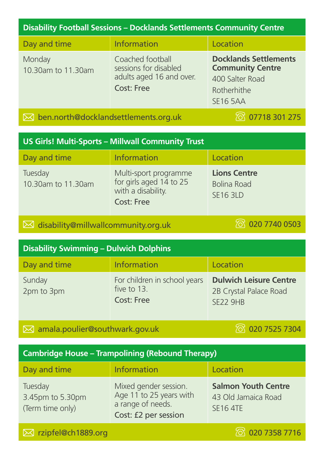#### **Disability Football Sessions – Docklands Settlements Community Centre**

| Day and time                                   | <b>Information</b>                                                                         | Location                                                                                                     |
|------------------------------------------------|--------------------------------------------------------------------------------------------|--------------------------------------------------------------------------------------------------------------|
| Monday<br>10.30am to 11.30am                   | Coached football<br>sessions for disabled<br>adults aged 16 and over.<br><b>Cost: Free</b> | <b>Docklands Settlements</b><br><b>Community Centre</b><br>400 Salter Road<br>Rotherhithe<br><b>SE16 5AA</b> |
| $\bowtie$ ben.north@docklandsettlements.org.uk |                                                                                            | <b>&amp; 07718 301 275</b>                                                                                   |

**US Girls! Multi-Sports – Millwall Community Trust** 

| Day and time                  | <b>Information</b>                                                                          | Location                                                     |
|-------------------------------|---------------------------------------------------------------------------------------------|--------------------------------------------------------------|
| Tuesday<br>10.30am to 11.30am | Multi-sport programme<br>for girls aged 14 to 25<br>with a disability.<br><b>Cost: Free</b> | <b>Lions Centre</b><br><b>Bolina Road</b><br><b>SE16 3LD</b> |

**i**M disability@millwallcommunity.org.uk 1200 0503

| <b>Disability Swimming - Dulwich Dolphins</b> |                                                                  |                                                                            |
|-----------------------------------------------|------------------------------------------------------------------|----------------------------------------------------------------------------|
| Day and time                                  | Information                                                      | Location                                                                   |
| Sunday<br>2pm to 3pm                          | For children in school years<br>five to 13.<br><b>Cost: Free</b> | <b>Dulwich Leisure Centre</b><br>2B Crystal Palace Road<br><b>SE22 9HB</b> |

#### **2** amala.poulier@southwark.gov.uk 1200 7525 7304

#### **Cambridge House – Trampolining (Rebound Therapy)**

| Day and time                                    | Information                                                                                   | Location                                                             |
|-------------------------------------------------|-----------------------------------------------------------------------------------------------|----------------------------------------------------------------------|
| Tuesday<br>3.45pm to 5.30pm<br>(Term time only) | Mixed gender session.<br>Age 11 to 25 years with<br>a range of needs.<br>Cost: £2 per session | <b>Salmon Youth Centre</b><br>43 Old Jamaica Road<br><b>SE16 4TE</b> |
| ⊠ rzipfel@ch1889.org                            |                                                                                               | 8 020 7358 7716                                                      |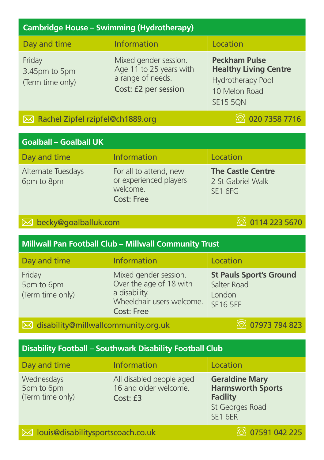| <b>Cambridge House - Swimming (Hydrotherapy)</b> |                                                                                               |                                                                                                               |
|--------------------------------------------------|-----------------------------------------------------------------------------------------------|---------------------------------------------------------------------------------------------------------------|
| Day and time                                     | <b>Information</b>                                                                            | Location                                                                                                      |
| Friday<br>3.45pm to 5pm<br>(Term time only)      | Mixed gender session.<br>Age 11 to 25 years with<br>a range of needs.<br>Cost: £2 per session | <b>Peckham Pulse</b><br><b>Healthy Living Centre</b><br>Hydrotherapy Pool<br>10 Melon Road<br><b>SE15 5QN</b> |

#### $\boxtimes$  Rachel Zipfel rzipfel@ch1889.org  $\textcircled{3}$  020 7358 7716

| <b>Goalball - Goalball UK</b>    |                                                                                   |                                                                      |
|----------------------------------|-----------------------------------------------------------------------------------|----------------------------------------------------------------------|
| Day and time                     | Information                                                                       | Location                                                             |
| Alternate Tuesdays<br>6pm to 8pm | For all to attend, new<br>or experienced players<br>welcome.<br><b>Cost: Free</b> | <b>The Castle Centre</b><br>2 St Gabriel Walk<br>SE <sub>1</sub> 6FG |

#### **becky@goalballuk.com** 0114 223 5670

| <b>Millwall Pan Football Club - Millwall Community Trust</b> |                                                                                                                     |                                                                            |
|--------------------------------------------------------------|---------------------------------------------------------------------------------------------------------------------|----------------------------------------------------------------------------|
| Day and time                                                 | Information                                                                                                         | Location                                                                   |
| Friday<br>5pm to 6pm<br>(Term time only)                     | Mixed gender session.<br>Over the age of 18 with<br>a disability.<br>Wheelchair users welcome.<br><b>Cost: Free</b> | <b>St Pauls Sport's Ground</b><br>Salter Road<br>London<br><b>SE16 5EF</b> |

**i** disability@millwallcommunity.org.uk 17973 794 823

#### **Disability Football – Southwark Disability Football Club**

| Day and time                                 | Information                                                   | Location                                                                                                  |
|----------------------------------------------|---------------------------------------------------------------|-----------------------------------------------------------------------------------------------------------|
| Wednesdays<br>5pm to 6pm<br>(Term time only) | All disabled people aged<br>16 and older welcome.<br>Cost: f3 | <b>Geraldine Mary</b><br><b>Harmsworth Sports</b><br><b>Facility</b><br>St Georges Road<br><b>SE1 6ER</b> |
|                                              |                                                               |                                                                                                           |

**M** louis@disabilitysportscoach.co.uk 225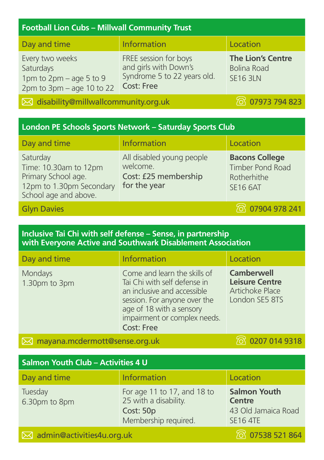#### **Football Lion Cubs – Millwall Community Trust**

| Day and time                                                                             | Information                                                                                        | Location                                                          |
|------------------------------------------------------------------------------------------|----------------------------------------------------------------------------------------------------|-------------------------------------------------------------------|
| Every two weeks<br>Saturdays<br>1pm to 2pm – age 5 to 9<br>$2pm$ to $3pm$ – age 10 to 22 | FREE session for boys<br>and girls with Down's<br>Syndrome 5 to 22 years old.<br><b>Cost: Free</b> | <b>The Lion's Centre</b><br><b>Bolina Road</b><br><b>SE16 3LN</b> |

**M** disability@millwallcommunity.org.uk 19973 794 823

| London PE Schools Sports Network - Saturday Sports Club                                                       |                                                                               |                                                                                    |
|---------------------------------------------------------------------------------------------------------------|-------------------------------------------------------------------------------|------------------------------------------------------------------------------------|
| Day and time                                                                                                  | Information                                                                   | Location                                                                           |
| Saturday<br>Time: 10.30am to 12pm<br>Primary School age.<br>12pm to 1.30pm Secondary<br>School age and above. | All disabled young people<br>welcome.<br>Cost: £25 membership<br>for the year | <b>Bacons College</b><br><b>Timber Pond Road</b><br>Rotherhithe<br><b>SE16 6AT</b> |
| <b>Glyn Davies</b>                                                                                            |                                                                               | <b>8</b> 07904 978 241                                                             |

#### **Inclusive Tai Chi with self defense – Sense, in partnership with Everyone Active and Southwark Disablement Association**

| Day and time             | <b>Information</b>                                                                                                                                                                                           | Location                                                                        |
|--------------------------|--------------------------------------------------------------------------------------------------------------------------------------------------------------------------------------------------------------|---------------------------------------------------------------------------------|
| Mondays<br>1.30pm to 3pm | Come and learn the skills of<br>Tai Chi with self defense in<br>an inclusive and accessible<br>session. For anyone over the<br>age of 18 with a sensory<br>impairment or complex needs.<br><b>Cost: Free</b> | <b>Camberwell</b><br><b>Leisure Centre</b><br>Artichoke Place<br>London SE5 8TS |

#### $\boxtimes$  mayana.mcdermott@sense.org.uk  $\boxtimes$  0207 014 9318

| Salmon Youth Club - Activities 4 U    |                                                                                           |                                                                                |
|---------------------------------------|-------------------------------------------------------------------------------------------|--------------------------------------------------------------------------------|
| Day and time                          | <b>Information</b>                                                                        | Location                                                                       |
| Tuesday<br>6.30pm to 8pm              | For age 11 to 17, and 18 to<br>25 with a disability.<br>Cost: 50p<br>Membership required. | <b>Salmon Youth</b><br><b>Centre</b><br>43 Old Jamaica Road<br><b>SE16 4TE</b> |
| $\boxtimes$ admin@activities4u.org.uk |                                                                                           | 864 07538 521 864                                                              |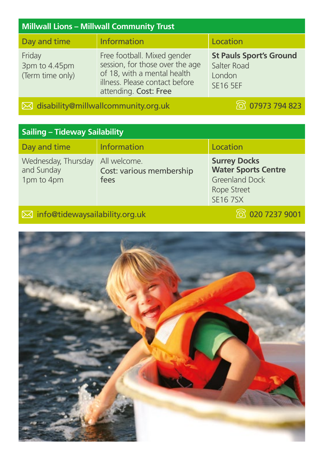| <b>Millwall Lions - Millwall Community Trust</b> |                                                                                                                                                          |                                                                            |
|--------------------------------------------------|----------------------------------------------------------------------------------------------------------------------------------------------------------|----------------------------------------------------------------------------|
| Day and time                                     | <b>Information</b>                                                                                                                                       | Location                                                                   |
| Friday<br>3pm to 4.45pm<br>(Term time only)      | Free football. Mixed gender<br>session, for those over the age<br>of 18, with a mental health<br>illness. Please contact before<br>attending. Cost: Free | <b>St Pauls Sport's Ground</b><br>Salter Road<br>London<br><b>SE16 5EF</b> |

#### **i** disability@millwallcommunity.org.uk 17973 794 823

#### **Sailing – Tideway Sailability**

| Day and time                                                 | <b>Information</b>               | Location                                                                                                           |
|--------------------------------------------------------------|----------------------------------|--------------------------------------------------------------------------------------------------------------------|
| Wednesday, Thursday All welcome.<br>and Sunday<br>1pm to 4pm | Cost: various membership<br>fees | <b>Surrey Docks</b><br><b>Water Sports Centre</b><br><b>Greenland Dock</b><br><b>Rope Street</b><br><b>SE167SX</b> |

#### info@tidewaysailability.org.uk 020 7237 9001